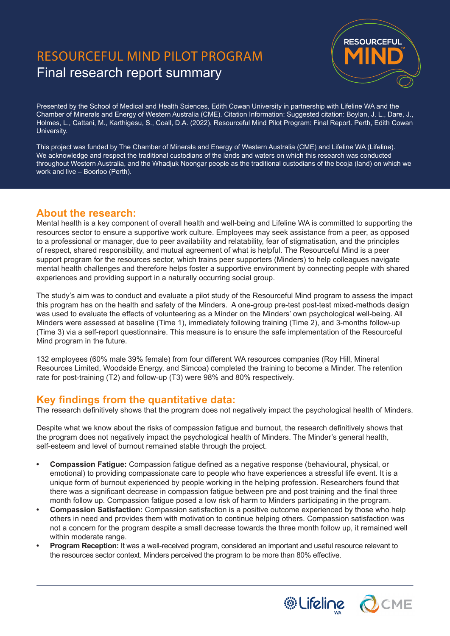# RESOURCEFUL MIND PILOT PROGRAM Final research report summary



Presented by the School of Medical and Health Sciences, Edith Cowan University in partnership with Lifeline WA and the Chamber of Minerals and Energy of Western Australia (CME). Citation Information: Suggested citation: Boylan, J. L., Dare, J., Holmes, L., Cattani, M., Karthigesu, S., Coall, D.A. (2022). Resourceful Mind Pilot Program: Final Report. Perth, Edith Cowan University.

This project was funded by The Chamber of Minerals and Energy of Western Australia (CME) and Lifeline WA (Lifeline). We acknowledge and respect the traditional custodians of the lands and waters on which this research was conducted throughout Western Australia, and the Whadjuk Noongar people as the traditional custodians of the booja (land) on which we work and live – Boorloo (Perth).

#### **About the research:**

Mental health is a key component of overall health and well-being and Lifeline WA is committed to supporting the resources sector to ensure a supportive work culture. Employees may seek assistance from a peer, as opposed to a professional or manager, due to peer availability and relatability, fear of stigmatisation, and the principles of respect, shared responsibility, and mutual agreement of what is helpful. The Resourceful Mind is a peer support program for the resources sector, which trains peer supporters (Minders) to help colleagues navigate mental health challenges and therefore helps foster a supportive environment by connecting people with shared experiences and providing support in a naturally occurring social group.

The study's aim was to conduct and evaluate a pilot study of the Resourceful Mind program to assess the impact this program has on the health and safety of the Minders. A one-group pre-test post-test mixed-methods design was used to evaluate the effects of volunteering as a Minder on the Minders' own psychological well-being. All Minders were assessed at baseline (Time 1), immediately following training (Time 2), and 3-months follow-up (Time 3) via a self-report questionnaire. This measure is to ensure the safe implementation of the Resourceful Mind program in the future.

132 employees (60% male 39% female) from four different WA resources companies (Roy Hill, Mineral Resources Limited, Woodside Energy, and Simcoa) completed the training to become a Minder. The retention rate for post-training (T2) and follow-up (T3) were 98% and 80% respectively.

### **Key findings from the quantitative data:**

The research definitively shows that the program does not negatively impact the psychological health of Minders.

Despite what we know about the risks of compassion fatigue and burnout, the research definitively shows that the program does not negatively impact the psychological health of Minders. The Minder's general health, self-esteem and level of burnout remained stable through the project.

- **• Compassion Fatigue:** Compassion fatigue defined as a negative response (behavioural, physical, or emotional) to providing compassionate care to people who have experiences a stressful life event. It is a unique form of burnout experienced by people working in the helping profession. Researchers found that there was a significant decrease in compassion fatigue between pre and post training and the final three month follow up. Compassion fatigue posed a low risk of harm to Minders participating in the program.
- **• Compassion Satisfaction:** Compassion satisfaction is a positive outcome experienced by those who help others in need and provides them with motivation to continue helping others. Compassion satisfaction was not a concern for the program despite a small decrease towards the three month follow up, it remained well within moderate range.
- **• Program Reception:** It was a well-received program, considered an important and useful resource relevant to the resources sector context. Minders perceived the program to be more than 80% effective.